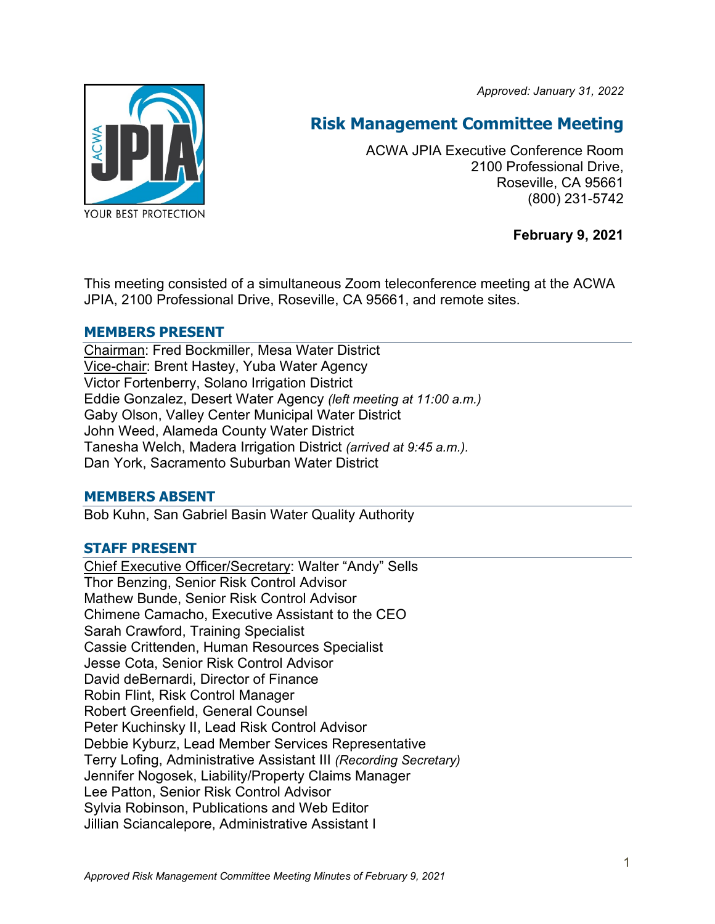*Approved: January 31, 2022*



# **Risk Management Committee Meeting**

ACWA JPIA Executive Conference Room 2100 Professional Drive, Roseville, CA 95661 (800) 231-5742

**February 9, 2021**

This meeting consisted of a simultaneous Zoom teleconference meeting at the ACWA JPIA, 2100 Professional Drive, Roseville, CA 95661, and remote sites.

## **MEMBERS PRESENT**

Chairman: Fred Bockmiller, Mesa Water District Vice-chair: Brent Hastey, Yuba Water Agency Victor Fortenberry, Solano Irrigation District Eddie Gonzalez, Desert Water Agency *(left meeting at 11:00 a.m.)* Gaby Olson, Valley Center Municipal Water District John Weed, Alameda County Water District Tanesha Welch, Madera Irrigation District *(arrived at 9:45 a.m.).* Dan York, Sacramento Suburban Water District

## **MEMBERS ABSENT**

Bob Kuhn, San Gabriel Basin Water Quality Authority

## **STAFF PRESENT**

Chief Executive Officer/Secretary: Walter "Andy" Sells Thor Benzing, Senior Risk Control Advisor Mathew Bunde, Senior Risk Control Advisor Chimene Camacho, Executive Assistant to the CEO Sarah Crawford, Training Specialist Cassie Crittenden, Human Resources Specialist Jesse Cota, Senior Risk Control Advisor David deBernardi, Director of Finance Robin Flint, Risk Control Manager Robert Greenfield, General Counsel Peter Kuchinsky II, Lead Risk Control Advisor Debbie Kyburz, Lead Member Services Representative Terry Lofing, Administrative Assistant III *(Recording Secretary)* Jennifer Nogosek, Liability/Property Claims Manager Lee Patton, Senior Risk Control Advisor Sylvia Robinson, Publications and Web Editor Jillian Sciancalepore, Administrative Assistant I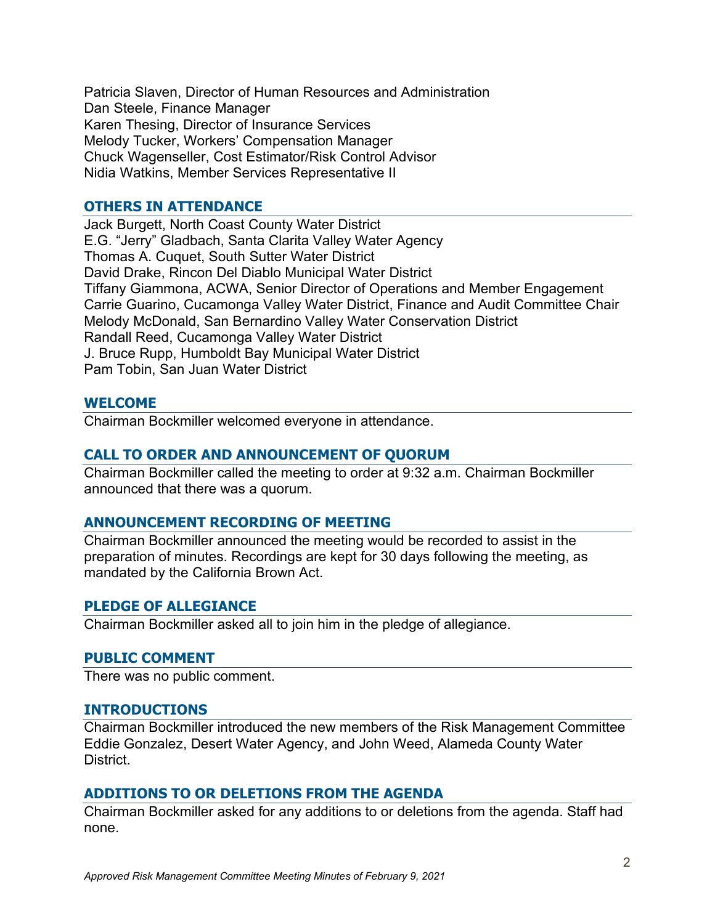Patricia Slaven, Director of Human Resources and Administration Dan Steele, Finance Manager Karen Thesing, Director of Insurance Services Melody Tucker, Workers' Compensation Manager Chuck Wagenseller, Cost Estimator/Risk Control Advisor Nidia Watkins, Member Services Representative II

## **OTHERS IN ATTENDANCE**

Jack Burgett, North Coast County Water District E.G. "Jerry" Gladbach, Santa Clarita Valley Water Agency Thomas A. Cuquet, South Sutter Water District David Drake, Rincon Del Diablo Municipal Water District Tiffany Giammona, ACWA, Senior Director of Operations and Member Engagement Carrie Guarino, Cucamonga Valley Water District, Finance and Audit Committee Chair Melody McDonald, San Bernardino Valley Water Conservation District Randall Reed, Cucamonga Valley Water District J. Bruce Rupp, Humboldt Bay Municipal Water District Pam Tobin, San Juan Water District

## **WELCOME**

Chairman Bockmiller welcomed everyone in attendance.

## **CALL TO ORDER AND ANNOUNCEMENT OF QUORUM**

Chairman Bockmiller called the meeting to order at 9:32 a.m. Chairman Bockmiller announced that there was a quorum.

#### **ANNOUNCEMENT RECORDING OF MEETING**

Chairman Bockmiller announced the meeting would be recorded to assist in the preparation of minutes. Recordings are kept for 30 days following the meeting, as mandated by the California Brown Act.

#### **PLEDGE OF ALLEGIANCE**

Chairman Bockmiller asked all to join him in the pledge of allegiance.

#### **PUBLIC COMMENT**

There was no public comment.

#### **INTRODUCTIONS**

Chairman Bockmiller introduced the new members of the Risk Management Committee Eddie Gonzalez, Desert Water Agency, and John Weed, Alameda County Water District.

#### **ADDITIONS TO OR DELETIONS FROM THE AGENDA**

Chairman Bockmiller asked for any additions to or deletions from the agenda. Staff had none.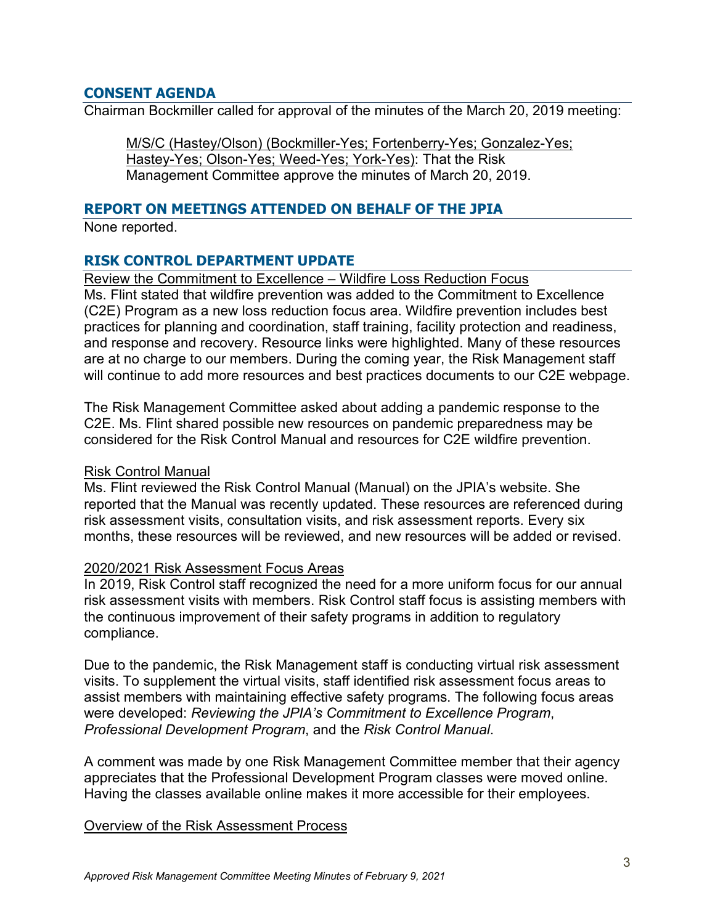## **CONSENT AGENDA**

Chairman Bockmiller called for approval of the minutes of the March 20, 2019 meeting:

M/S/C (Hastey/Olson) (Bockmiller-Yes; Fortenberry-Yes; Gonzalez-Yes; Hastey-Yes; Olson-Yes; Weed-Yes; York-Yes): That the Risk Management Committee approve the minutes of March 20, 2019.

## **REPORT ON MEETINGS ATTENDED ON BEHALF OF THE JPIA**

None reported.

# **RISK CONTROL DEPARTMENT UPDATE**

Review the Commitment to Excellence – Wildfire Loss Reduction Focus

Ms. Flint stated that wildfire prevention was added to the Commitment to Excellence (C2E) Program as a new loss reduction focus area. Wildfire prevention includes best practices for planning and coordination, staff training, facility protection and readiness, and response and recovery. Resource links were highlighted. Many of these resources are at no charge to our members. During the coming year, the Risk Management staff will continue to add more resources and best practices documents to our C2E webpage.

The Risk Management Committee asked about adding a pandemic response to the C2E. Ms. Flint shared possible new resources on pandemic preparedness may be considered for the Risk Control Manual and resources for C2E wildfire prevention.

#### Risk Control Manual

Ms. Flint reviewed the Risk Control Manual (Manual) on the JPIA's website. She reported that the Manual was recently updated. These resources are referenced during risk assessment visits, consultation visits, and risk assessment reports. Every six months, these resources will be reviewed, and new resources will be added or revised.

#### 2020/2021 Risk Assessment Focus Areas

In 2019, Risk Control staff recognized the need for a more uniform focus for our annual risk assessment visits with members. Risk Control staff focus is assisting members with the continuous improvement of their safety programs in addition to regulatory compliance.

Due to the pandemic, the Risk Management staff is conducting virtual risk assessment visits. To supplement the virtual visits, staff identified risk assessment focus areas to assist members with maintaining effective safety programs. The following focus areas were developed: *Reviewing the JPIA's Commitment to Excellence Program*, *Professional Development Program*, and the *Risk Control Manual*.

A comment was made by one Risk Management Committee member that their agency appreciates that the Professional Development Program classes were moved online. Having the classes available online makes it more accessible for their employees.

#### Overview of the Risk Assessment Process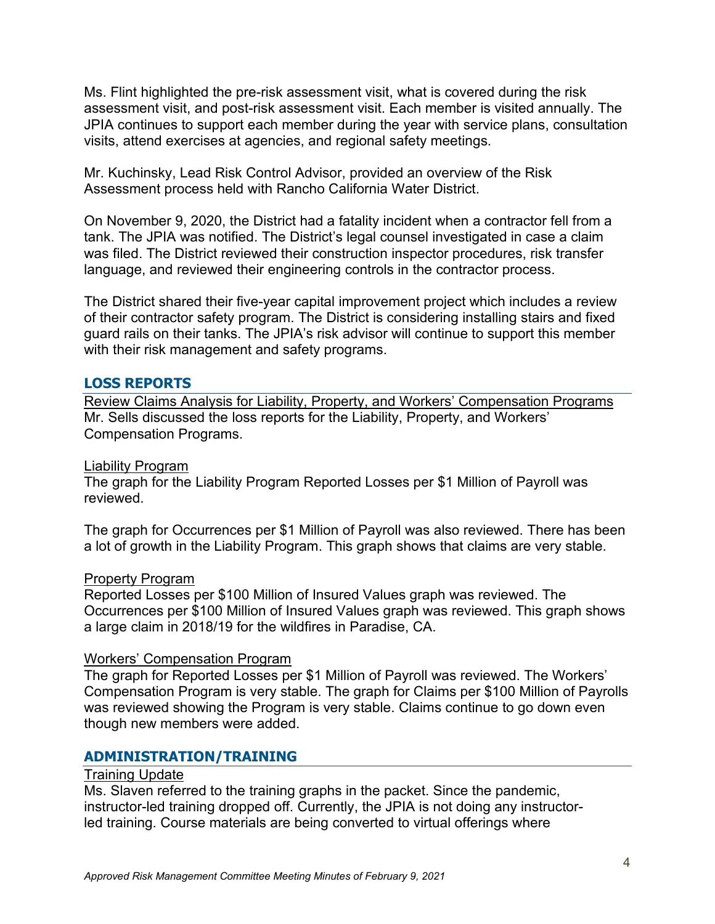Ms. Flint highlighted the pre-risk assessment visit, what is covered during the risk assessment visit, and post-risk assessment visit. Each member is visited annually. The JPIA continues to support each member during the year with service plans, consultation visits, attend exercises at agencies, and regional safety meetings.

Mr. Kuchinsky, Lead Risk Control Advisor, provided an overview of the Risk Assessment process held with Rancho California Water District.

On November 9, 2020, the District had a fatality incident when a contractor fell from a tank. The JPIA was notified. The District's legal counsel investigated in case a claim was filed. The District reviewed their construction inspector procedures, risk transfer language, and reviewed their engineering controls in the contractor process.

The District shared their five-year capital improvement project which includes a review of their contractor safety program. The District is considering installing stairs and fixed guard rails on their tanks. The JPIA's risk advisor will continue to support this member with their risk management and safety programs.

## **LOSS REPORTS**

Review Claims Analysis for Liability, Property, and Workers' Compensation Programs Mr. Sells discussed the loss reports for the Liability, Property, and Workers' Compensation Programs.

#### Liability Program

The graph for the Liability Program Reported Losses per \$1 Million of Payroll was reviewed.

The graph for Occurrences per \$1 Million of Payroll was also reviewed. There has been a lot of growth in the Liability Program. This graph shows that claims are very stable.

#### Property Program

Reported Losses per \$100 Million of Insured Values graph was reviewed. The Occurrences per \$100 Million of Insured Values graph was reviewed. This graph shows a large claim in 2018/19 for the wildfires in Paradise, CA.

#### Workers' Compensation Program

The graph for Reported Losses per \$1 Million of Payroll was reviewed. The Workers' Compensation Program is very stable. The graph for Claims per \$100 Million of Payrolls was reviewed showing the Program is very stable. Claims continue to go down even though new members were added.

## **ADMINISTRATION/TRAINING**

#### Training Update

Ms. Slaven referred to the training graphs in the packet. Since the pandemic, instructor-led training dropped off. Currently, the JPIA is not doing any instructorled training. Course materials are being converted to virtual offerings where